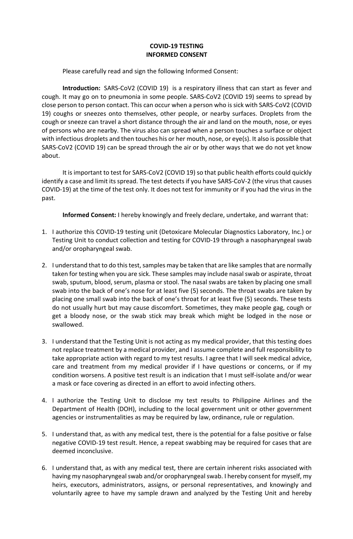## **COVID-19 TESTING INFORMED CONSENT**

Please carefully read and sign the following Informed Consent:

**Introduction:** SARS-CoV2 (COVID 19) is a respiratory illness that can start as fever and cough. It may go on to pneumonia in some people. SARS-CoV2 (COVID 19) seems to spread by close person to person contact. This can occur when a person who is sick with SARS-CoV2 (COVID 19) coughs or sneezes onto themselves, other people, or nearby surfaces. Droplets from the cough or sneeze can travel a short distance through the air and land on the mouth, nose, or eyes of persons who are nearby. The virus also can spread when a person touches a surface or object with infectious droplets and then touches his or her mouth, nose, or eye(s). It also is possible that SARS-CoV2 (COVID 19) can be spread through the air or by other ways that we do not yet know about.

It is important to test for SARS-CoV2 (COVID 19) so that public health efforts could quickly identify a case and limit its spread. The test detects if you have SARS-CoV-2 (the virus that causes COVID-19) at the time of the test only. It does not test for immunity or if you had the virus in the past.

**Informed Consent:** I hereby knowingly and freely declare, undertake, and warrant that:

- 1. I authorize this COVID-19 testing unit (Detoxicare Molecular Diagnostics Laboratory, Inc.) or Testing Unit to conduct collection and testing for COVID-19 through a nasopharyngeal swab and/or oropharyngeal swab.
- 2. I understand that to do this test, samples may be taken that are like samples that are normally taken for testing when you are sick. These samples may include nasal swab or aspirate, throat swab, sputum, blood, serum, plasma or stool. The nasal swabs are taken by placing one small swab into the back of one's nose for at least five (5) seconds. The throat swabs are taken by placing one small swab into the back of one's throat for at least five (5) seconds. These tests do not usually hurt but may cause discomfort. Sometimes, they make people gag, cough or get a bloody nose, or the swab stick may break which might be lodged in the nose or swallowed.
- 3. I understand that the Testing Unit is not acting as my medical provider, that this testing does not replace treatment by a medical provider, and I assume complete and full responsibility to take appropriate action with regard to my test results. I agree that I will seek medical advice, care and treatment from my medical provider if I have questions or concerns, or if my condition worsens. A positive test result is an indication that I must self-isolate and/or wear a mask or face covering as directed in an effort to avoid infecting others.
- 4. I authorize the Testing Unit to disclose my test results to Philippine Airlines and the Department of Health (DOH), including to the local government unit or other government agencies or instrumentalities as may be required by law, ordinance, rule or regulation.
- 5. I understand that, as with any medical test, there is the potential for a false positive or false negative COVID-19 test result. Hence, a repeat swabbing may be required for cases that are deemed inconclusive.
- 6. I understand that, as with any medical test, there are certain inherent risks associated with having my nasopharyngeal swab and/or oropharyngeal swab. I hereby consent for myself, my heirs, executors, administrators, assigns, or personal representatives, and knowingly and voluntarily agree to have my sample drawn and analyzed by the Testing Unit and hereby